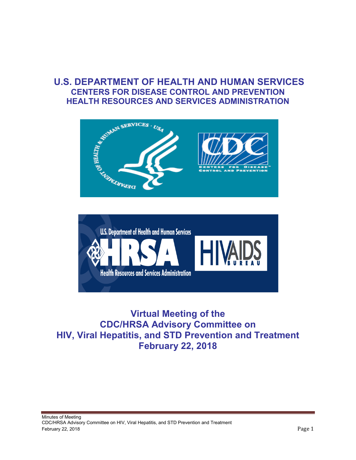## **U.S. DEPARTMENT OF HEALTH AND HUMAN SERVICES CENTERS FOR DISEASE CONTROL AND PREVENTION HEALTH RESOURCES AND SERVICES ADMINISTRATION**





**Virtual Meeting of the CDC/HRSA Advisory Committee on HIV, Viral Hepatitis, and STD Prevention and Treatment February 22, 2018**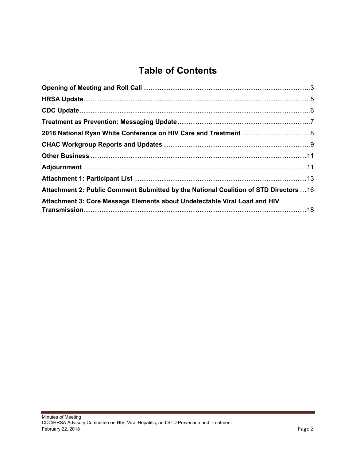# **Table of Contents**

| Attachment 2: Public Comment Submitted by the National Coalition of STD Directors  16 |  |
|---------------------------------------------------------------------------------------|--|
| Attachment 3: Core Message Elements about Undetectable Viral Load and HIV             |  |
|                                                                                       |  |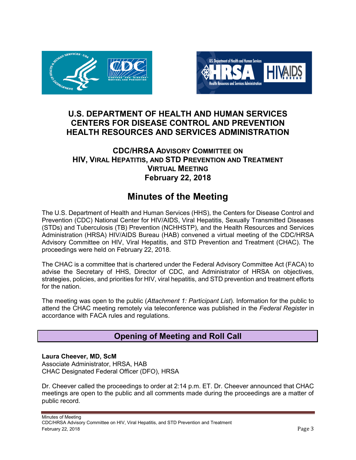<span id="page-2-0"></span>



## **U.S. DEPARTMENT OF HEALTH AND HUMAN SERVICES CENTERS FOR DISEASE CONTROL AND PREVENTION HEALTH RESOURCES AND SERVICES ADMINISTRATION**

### **CDC/HRSA ADVISORY COMMITTEE ON HIV, VIRAL HEPATITIS, AND STD PREVENTION AND TREATMENT VIRTUAL MEETING February 22, 2018**

## **Minutes of the Meeting**

The U.S. Department of Health and Human Services (HHS), the Centers for Disease Control and Prevention (CDC) National Center for HIV/AIDS, Viral Hepatitis, Sexually Transmitted Diseases (STDs) and Tuberculosis (TB) Prevention (NCHHSTP), and the Health Resources and Services Administration (HRSA) HIV/AIDS Bureau (HAB) convened a virtual meeting of the CDC/HRSA Advisory Committee on HIV, Viral Hepatitis, and STD Prevention and Treatment (CHAC). The proceedings were held on February 22, 2018.

The CHAC is a committee that is chartered under the Federal Advisory Committee Act (FACA) to advise the Secretary of HHS, Director of CDC, and Administrator of HRSA on objectives, strategies, policies, and priorities for HIV, viral hepatitis, and STD prevention and treatment efforts for the nation.

The meeting was open to the public (*Attachment 1: Participant List*). Information for the public to attend the CHAC meeting remotely via teleconference was published in the *Federal Register* in accordance with FACA rules and regulations.

## **Opening of Meeting and Roll Call**

#### **Laura Cheever, MD, ScM** Associate Administrator, HRSA, HAB CHAC Designated Federal Officer (DFO), HRSA

Dr. Cheever called the proceedings to order at 2:14 p.m. ET. Dr. Cheever announced that CHAC meetings are open to the public and all comments made during the proceedings are a matter of public record.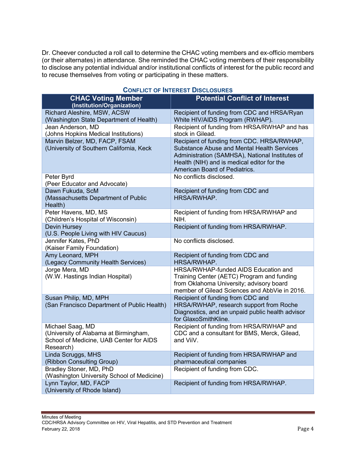Dr. Cheever conducted a roll call to determine the CHAC voting members and ex-officio members (or their alternates) in attendance. She reminded the CHAC voting members of their responsibility to disclose any potential individual and/or institutional conflicts of interest for the public record and to recuse themselves from voting or participating in these matters.

| , ושבו בו או יושר ו                                                                                               |                                                                                                                                                                                                                                   |
|-------------------------------------------------------------------------------------------------------------------|-----------------------------------------------------------------------------------------------------------------------------------------------------------------------------------------------------------------------------------|
| <b>CHAC Voting Member</b><br>(Institution/Organization)                                                           | <b>Potential Conflict of Interest</b>                                                                                                                                                                                             |
| Richard Aleshire, MSW, ACSW                                                                                       | Recipient of funding from CDC and HRSA/Ryan                                                                                                                                                                                       |
| (Washington State Department of Health)                                                                           | White HIV/AIDS Program (RWHAP).                                                                                                                                                                                                   |
| Jean Anderson, MD                                                                                                 | Recipient of funding from HRSA/RWHAP and has                                                                                                                                                                                      |
| (Johns Hopkins Medical Institutions)                                                                              | stock in Gilead.                                                                                                                                                                                                                  |
| Marvin Belzer, MD, FACP, FSAM<br>(University of Southern California, Keck                                         | Recipient of funding from CDC. HRSA/RWHAP,<br><b>Substance Abuse and Mental Health Services</b><br>Administration (SAMHSA), National Institutes of<br>Health (NIH) and is medical editor for the<br>American Board of Pediatrics. |
| Peter Byrd                                                                                                        | No conflicts disclosed.                                                                                                                                                                                                           |
| (Peer Educator and Advocate)                                                                                      |                                                                                                                                                                                                                                   |
| Dawn Fukuda, ScM<br>(Massachusetts Department of Public<br>Health)                                                | Recipient of funding from CDC and<br>HRSA/RWHAP.                                                                                                                                                                                  |
| Peter Havens, MD, MS<br>(Children's Hospital of Wisconsin)                                                        | Recipient of funding from HRSA/RWHAP and<br>NIH.                                                                                                                                                                                  |
| Devin Hursey                                                                                                      | Recipient of funding from HRSA/RWHAP.                                                                                                                                                                                             |
| (U.S. People Living with HIV Caucus)                                                                              |                                                                                                                                                                                                                                   |
| Jennifer Kates, PhD<br>(Kaiser Family Foundation)                                                                 | No conflicts disclosed.                                                                                                                                                                                                           |
| Amy Leonard, MPH<br>(Legacy Community Health Services)                                                            | Recipient of funding from CDC and<br>HRSA/RWHAP.                                                                                                                                                                                  |
| Jorge Mera, MD<br>(W.W. Hastings Indian Hospital)                                                                 | HRSA/RWHAP-funded AIDS Education and<br>Training Center (AETC) Program and funding<br>from Oklahoma University; advisory board<br>member of Gilead Sciences and AbbVie in 2016.                                                   |
| Susan Philip, MD, MPH<br>(San Francisco Department of Public Health)                                              | Recipient of funding from CDC and<br>HRSA/RWHAP, research support from Roche<br>Diagnostics, and an unpaid public health advisor<br>for GlaxoSmithKline.                                                                          |
| Michael Saag, MD<br>(University of Alabama at Birmingham,<br>School of Medicine, UAB Center for AIDS<br>Research) | Recipient of funding from HRSA/RWHAP and<br>CDC and a consultant for BMS, Merck, Gilead,<br>and ViiV.                                                                                                                             |
| Linda Scruggs, MHS                                                                                                | Recipient of funding from HRSA/RWHAP and                                                                                                                                                                                          |
| (Ribbon Consulting Group)                                                                                         | pharmaceutical companies                                                                                                                                                                                                          |
| Bradley Stoner, MD, PhD<br>(Washington University School of Medicine)                                             | Recipient of funding from CDC.                                                                                                                                                                                                    |
| Lynn Taylor, MD, FACP<br>(University of Rhode Island)                                                             | Recipient of funding from HRSA/RWHAP.                                                                                                                                                                                             |

#### **CONFLICT OF INTEREST DISCLOSURES**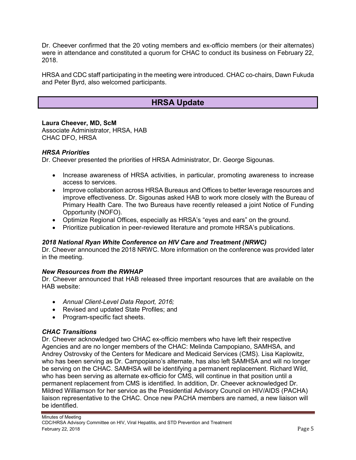<span id="page-4-0"></span>Dr. Cheever confirmed that the 20 voting members and ex-officio members (or their alternates) were in attendance and constituted a quorum for CHAC to conduct its business on February 22, 2018.

HRSA and CDC staff participating in the meeting were introduced. CHAC co-chairs, Dawn Fukuda and Peter Byrd, also welcomed participants.

## **HRSA Update**

**Laura Cheever, MD, ScM** Associate Administrator, HRSA, HAB CHAC DFO, HRSA

#### *HRSA Priorities*

Dr. Cheever presented the priorities of HRSA Administrator, Dr. George Sigounas.

- Increase awareness of HRSA activities, in particular, promoting awareness to increase access to services.
- Improve collaboration across HRSA Bureaus and Offices to better leverage resources and improve effectiveness. Dr. Sigounas asked HAB to work more closely with the Bureau of Primary Health Care. The two Bureaus have recently released a joint Notice of Funding Opportunity (NOFO).
- Optimize Regional Offices, especially as HRSA's "eyes and ears" on the ground.
- Prioritize publication in peer-reviewed literature and promote HRSA's publications.

#### *2018 National Ryan White Conference on HIV Care and Treatment (NRWC)*

Dr. Cheever announced the 2018 NRWC. More information on the conference was provided later in the meeting.

#### *New Resources from the RWHAP*

Dr. Cheever announced that HAB released three important resources that are available on the HAB website:

- *Annual Client-Level Data Report, 2016;*
- Revised and updated State Profiles; and
- Program-specific fact sheets.

#### *CHAC Transitions*

Dr. Cheever acknowledged two CHAC ex-officio members who have left their respective Agencies and are no longer members of the CHAC: Melinda Campopiano, SAMHSA, and Andrey Ostrovsky of the Centers for Medicare and Medicaid Services (CMS). Lisa Kaplowitz, who has been serving as Dr. Campopiano's alternate, has also left SAMHSA and will no longer be serving on the CHAC. SAMHSA will be identifying a permanent replacement. Richard Wild, who has been serving as alternate ex-officio for CMS, will continue in that position until a permanent replacement from CMS is identified. In addition, Dr. Cheever acknowledged Dr. Mildred Williamson for her service as the Presidential Advisory Council on HIV/AIDS (PACHA) liaison representative to the CHAC. Once new PACHA members are named, a new liaison will be identified.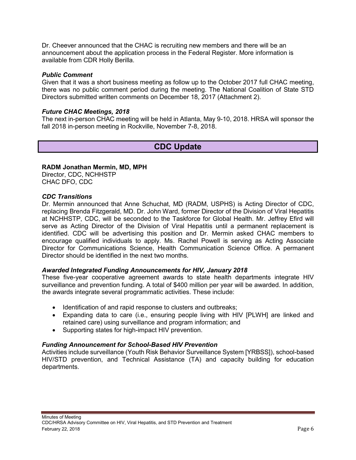<span id="page-5-0"></span>Dr. Cheever announced that the CHAC is recruiting new members and there will be an announcement about the application process in the Federal Register. More information is available from CDR Holly Berilla.

#### *Public Comment*

Given that it was a short business meeting as follow up to the October 2017 full CHAC meeting, there was no public comment period during the meeting. The National Coalition of State STD Directors submitted written comments on December 18, 2017 (Attachment 2).

#### *Future CHAC Meetings, 2018*

The next in-person CHAC meeting will be held in Atlanta, May 9-10, 2018. HRSA will sponsor the fall 2018 in-person meeting in Rockville, November 7-8, 2018.

## **CDC Update**

#### **RADM Jonathan Mermin, MD, MPH**

Director, CDC, NCHHSTP CHAC DFO, CDC

#### *CDC Transitions*

Dr. Mermin announced that Anne Schuchat, MD (RADM, USPHS) is Acting Director of CDC, replacing Brenda Fitzgerald, MD. Dr. John Ward, former Director of the Division of Viral Hepatitis at NCHHSTP, CDC, will be seconded to the Taskforce for Global Health. Mr. Jeffrey Efird will serve as Acting Director of the Division of Viral Hepatitis until a permanent replacement is identified. CDC will be advertising this position and Dr. Mermin asked CHAC members to encourage qualified individuals to apply. Ms. Rachel Powell is serving as Acting Associate Director for Communications Science, Health Communication Science Office. A permanent Director should be identified in the next two months.

#### *Awarded Integrated Funding Announcements for HIV, January 2018*

These five-year cooperative agreement awards to state health departments integrate HIV surveillance and prevention funding. A total of \$400 million per year will be awarded. In addition, the awards integrate several programmatic activities. These include:

- Identification of and rapid response to clusters and outbreaks;
- Expanding data to care (i.e., ensuring people living with HIV [PLWH] are linked and retained care) using surveillance and program information; and
- Supporting states for high-impact HIV prevention.

#### *Funding Announcement for School-Based HIV Prevention*

Activities include surveillance (Youth Risk Behavior Surveillance System [YRBSS]), school-based HIV/STD prevention, and Technical Assistance (TA) and capacity building for education departments.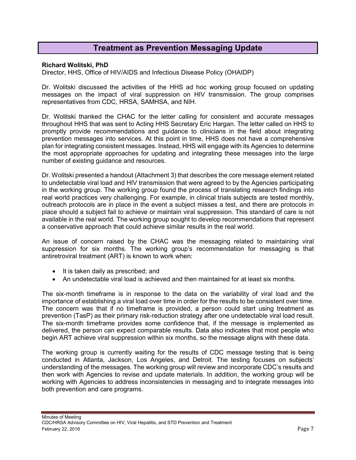### **Treatment as Prevention Messaging Update**

#### <span id="page-6-0"></span>**Richard Wolitski, PhD**

Director, HHS, Office of HIV/AIDS and Infectious Disease Policy (OHAIDP)

Dr. Wolitski discussed the activities of the HHS ad hoc working group focused on updating messages on the impact of viral suppression on HIV transmission. The group comprises representatives from CDC, HRSA, SAMHSA, and NIH.

Dr. Wolitski thanked the CHAC for the letter calling for consistent and accurate messages throughout HHS that was sent to Acting HHS Secretary Eric Hargan. The letter called on HHS to promptly provide recommendations and guidance to clinicians in the field about integrating prevention messages into services. At this point in time, HHS does not have a comprehensive plan for integrating consistent messages. Instead, HHS will engage with its Agencies to determine the most appropriate approaches for updating and integrating these messages into the large number of existing guidance and resources.

Dr. Wolitski presented a handout (Attachment 3) that describes the core message element related to undetectable viral load and HIV transmission that were agreed to by the Agencies participating in the working group. The working group found the process of translating research findings into real world practices very challenging. For example, in clinical trials subjects are tested monthly, outreach protocols are in place in the event a subject misses a test, and there are protocols in place should a subject fail to achieve or maintain viral suppression. This standard of care is not available in the real world. The working group sought to develop recommendations that represent a conservative approach that could achieve similar results in the real world.

An issue of concern raised by the CHAC was the messaging related to maintaining viral suppression for six months. The working group's recommendation for messaging is that antiretroviral treatment (ART) is known to work when:

- It is taken daily as prescribed; and
- An undetectable viral load is achieved and then maintained for at least six months.

The six-month timeframe is in response to the data on the variability of viral load and the importance of establishing a viral load over time in order for the results to be consistent over time. The concern was that if no timeframe is provided, a person could start using treatment as prevention (TasP) as their primary risk-reduction strategy after one undetectable viral load result. The six-month timeframe provides some confidence that, if the message is implemented as delivered, the person can expect comparable results. Data also indicates that most people who begin ART achieve viral suppression within six months, so the message aligns with these data.

The working group is currently waiting for the results of CDC message testing that is being conducted in Atlanta, Jackson, Los Angeles, and Detroit. The testing focuses on subjects' understanding of the messages. The working group will review and incorporate CDC's results and then work with Agencies to revise and update materials. In addition, the working group will be working with Agencies to address inconsistencies in messaging and to integrate messages into both prevention and care programs.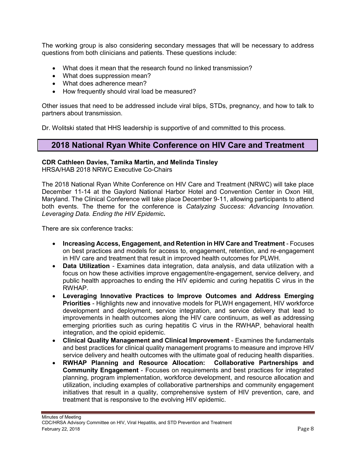<span id="page-7-0"></span>The working group is also considering secondary messages that will be necessary to address questions from both clinicians and patients. These questions include:

- What does it mean that the research found no linked transmission?
- What does suppression mean?
- What does adherence mean?
- How frequently should viral load be measured?

Other issues that need to be addressed include viral blips, STDs, pregnancy, and how to talk to partners about transmission.

Dr. Wolitski stated that HHS leadership is supportive of and committed to this process.

### **2018 National Ryan White Conference on HIV Care and Treatment**

#### **CDR Cathleen Davies, Tamika Martin, and Melinda Tinsley**

HRSA/HAB 2018 NRWC Executive Co-Chairs

The 2018 National Ryan White Conference on HIV Care and Treatment (NRWC) will take place December 11-14 at the Gaylord National Harbor Hotel and Convention Center in Oxon Hill, Maryland. The Clinical Conference will take place December 9-11, allowing participants to attend both events. The theme for the conference is *Catalyzing Success: Advancing Innovation. Leveraging Data. Ending the HIV Epidemic***.**

There are six conference tracks:

- **Increasing Access, Engagement, and Retention in HIV Care and Treatment** Focuses on best practices and models for access to, engagement, retention, and re-engagement in HIV care and treatment that result in improved health outcomes for PLWH.
- **Data Utilization** Examines data integration, data analysis, and data utilization with a focus on how these activities improve engagement/re-engagement, service delivery, and public health approaches to ending the HIV epidemic and curing hepatitis C virus in the RWHAP.
- **Leveraging Innovative Practices to Improve Outcomes and Address Emerging Priorities** - Highlights new and innovative models for PLWH engagement, HIV workforce development and deployment, service integration, and service delivery that lead to improvements in health outcomes along the HIV care continuum, as well as addressing emerging priorities such as curing hepatitis C virus in the RWHAP, behavioral health integration, and the opioid epidemic.
- **Clinical Quality Management and Clinical Improvement**  Examines the fundamentals and best practices for clinical quality management programs to measure and improve HIV service delivery and health outcomes with the ultimate goal of reducing health disparities.
- **RWHAP Planning and Resource Allocation: Collaborative Partnerships and Community Engagement** - Focuses on requirements and best practices for integrated planning, program implementation, workforce development, and resource allocation and utilization, including examples of collaborative partnerships and community engagement initiatives that result in a quality, comprehensive system of HIV prevention, care, and treatment that is responsive to the evolving HIV epidemic.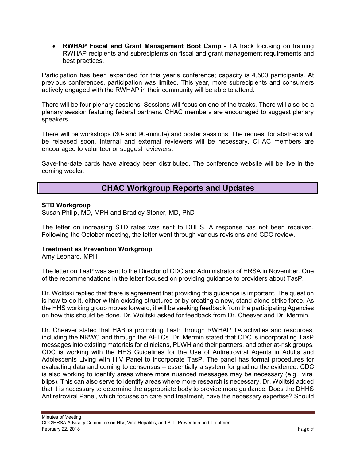<span id="page-8-0"></span> **RWHAP Fiscal and Grant Management Boot Camp** - TA track focusing on training RWHAP recipients and subrecipients on fiscal and grant management requirements and best practices.

Participation has been expanded for this year's conference; capacity is 4,500 participants. At previous conferences, participation was limited. This year, more subrecipients and consumers actively engaged with the RWHAP in their community will be able to attend.

There will be four plenary sessions. Sessions will focus on one of the tracks. There will also be a plenary session featuring federal partners. CHAC members are encouraged to suggest plenary speakers.

There will be workshops (30- and 90-minute) and poster sessions. The request for abstracts will be released soon. Internal and external reviewers will be necessary. CHAC members are encouraged to volunteer or suggest reviewers.

Save-the-date cards have already been distributed. The conference website will be live in the coming weeks.

## **CHAC Workgroup Reports and Updates**

#### **STD Workgroup**

Susan Philip, MD, MPH and Bradley Stoner, MD, PhD

The letter on increasing STD rates was sent to DHHS. A response has not been received. Following the October meeting, the letter went through various revisions and CDC review.

#### **Treatment as Prevention Workgroup**

Amy Leonard, MPH

The letter on TasP was sent to the Director of CDC and Administrator of HRSA in November. One of the recommendations in the letter focused on providing guidance to providers about TasP.

Dr. Wolitski replied that there is agreement that providing this guidance is important. The question is how to do it, either within existing structures or by creating a new, stand-alone strike force. As the HHS working group moves forward, it will be seeking feedback from the participating Agencies on how this should be done. Dr. Wolitski asked for feedback from Dr. Cheever and Dr. Mermin.

Dr. Cheever stated that HAB is promoting TasP through RWHAP TA activities and resources, including the NRWC and through the AETCs. Dr. Mermin stated that CDC is incorporating TasP messages into existing materials for clinicians, PLWH and their partners, and other at-risk groups. CDC is working with the HHS Guidelines for the Use of Antiretroviral Agents in Adults and Adolescents Living with HIV Panel to incorporate TasP. The panel has formal procedures for evaluating data and coming to consensus – essentially a system for grading the evidence. CDC is also working to identify areas where more nuanced messages may be necessary (e.g., viral blips). This can also serve to identify areas where more research is necessary. Dr. Wolitski added that it is necessary to determine the appropriate body to provide more guidance. Does the DHHS Antiretroviral Panel, which focuses on care and treatment, have the necessary expertise? Should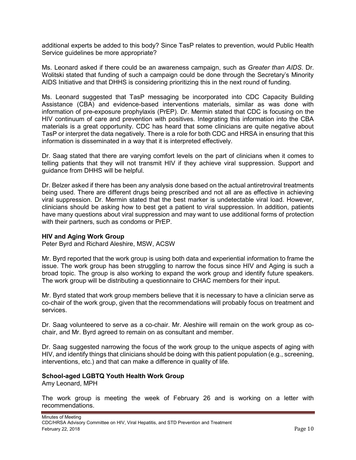additional experts be added to this body? Since TasP relates to prevention, would Public Health Service guidelines be more appropriate?

Ms. Leonard asked if there could be an awareness campaign, such as *Greater than AIDS*. Dr. Wolitski stated that funding of such a campaign could be done through the Secretary's Minority AIDS Initiative and that DHHS is considering prioritizing this in the next round of funding.

Ms. Leonard suggested that TasP messaging be incorporated into CDC Capacity Building Assistance (CBA) and evidence-based interventions materials, similar as was done with information of pre-exposure prophylaxis (PrEP). Dr. Mermin stated that CDC is focusing on the HIV continuum of care and prevention with positives. Integrating this information into the CBA materials is a great opportunity. CDC has heard that some clinicians are quite negative about TasP or interpret the data negatively. There is a role for both CDC and HRSA in ensuring that this information is disseminated in a way that it is interpreted effectively.

Dr. Saag stated that there are varying comfort levels on the part of clinicians when it comes to telling patients that they will not transmit HIV if they achieve viral suppression. Support and guidance from DHHS will be helpful.

Dr. Belzer asked if there has been any analysis done based on the actual antiretroviral treatments being used. There are different drugs being prescribed and not all are as effective in achieving viral suppression. Dr. Mermin stated that the best marker is undetectable viral load. However, clinicians should be asking how to best get a patient to viral suppression. In addition, patients have many questions about viral suppression and may want to use additional forms of protection with their partners, such as condoms or PrEP.

#### **HIV and Aging Work Group**

Peter Byrd and Richard Aleshire, MSW, ACSW

Mr. Byrd reported that the work group is using both data and experiential information to frame the issue. The work group has been struggling to narrow the focus since HIV and Aging is such a broad topic. The group is also working to expand the work group and identify future speakers. The work group will be distributing a questionnaire to CHAC members for their input.

Mr. Byrd stated that work group members believe that it is necessary to have a clinician serve as co-chair of the work group, given that the recommendations will probably focus on treatment and services.

Dr. Saag volunteered to serve as a co-chair. Mr. Aleshire will remain on the work group as cochair, and Mr. Byrd agreed to remain on as consultant and member.

Dr. Saag suggested narrowing the focus of the work group to the unique aspects of aging with HIV, and identify things that clinicians should be doing with this patient population (e.g., screening, interventions, etc.) and that can make a difference in quality of life.

#### **School-aged LGBTQ Youth Health Work Group**

Amy Leonard, MPH

The work group is meeting the week of February 26 and is working on a letter with recommendations.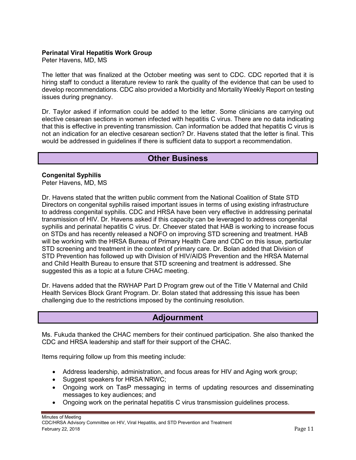#### <span id="page-10-0"></span>**Perinatal Viral Hepatitis Work Group**

Peter Havens, MD, MS

The letter that was finalized at the October meeting was sent to CDC. CDC reported that it is hiring staff to conduct a literature review to rank the quality of the evidence that can be used to develop recommendations. CDC also provided a Morbidity and Mortality Weekly Report on testing issues during pregnancy.

Dr. Taylor asked if information could be added to the letter. Some clinicians are carrying out elective cesarean sections in women infected with hepatitis C virus. There are no data indicating that this is effective in preventing transmission. Can information be added that hepatitis C virus is not an indication for an elective cesarean section? Dr. Havens stated that the letter is final. This would be addressed in guidelines if there is sufficient data to support a recommendation.

### **Other Business**

#### **Congenital Syphilis**

Peter Havens, MD, MS

Dr. Havens stated that the written public comment from the National Coalition of State STD Directors on congenital syphilis raised important issues in terms of using existing infrastructure to address congenital syphilis. CDC and HRSA have been very effective in addressing perinatal transmission of HIV. Dr. Havens asked if this capacity can be leveraged to address congenital syphilis and perinatal hepatitis C virus. Dr. Cheever stated that HAB is working to increase focus on STDs and has recently released a NOFO on improving STD screening and treatment. HAB will be working with the HRSA Bureau of Primary Health Care and CDC on this issue, particular STD screening and treatment in the context of primary care. Dr. Bolan added that Division of STD Prevention has followed up with Division of HIV/AIDS Prevention and the HRSA Maternal and Child Health Bureau to ensure that STD screening and treatment is addressed. She suggested this as a topic at a future CHAC meeting.

Dr. Havens added that the RWHAP Part D Program grew out of the Title V Maternal and Child Health Services Block Grant Program. Dr. Bolan stated that addressing this issue has been challenging due to the restrictions imposed by the continuing resolution.

### **Adjournment**

Ms. Fukuda thanked the CHAC members for their continued participation. She also thanked the CDC and HRSA leadership and staff for their support of the CHAC.

Items requiring follow up from this meeting include:

- Address leadership, administration, and focus areas for HIV and Aging work group;
- Suggest speakers for HRSA NRWC;
- Ongoing work on TasP messaging in terms of updating resources and disseminating messages to key audiences; and
- Ongoing work on the perinatal hepatitis C virus transmission guidelines process.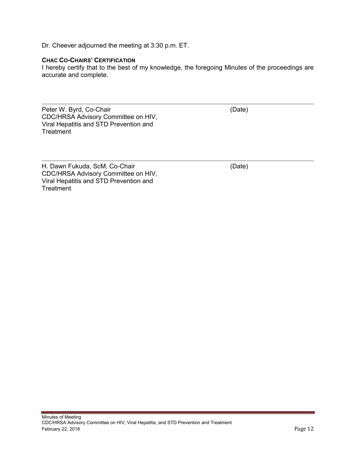Dr. Cheever adjourned the meeting at 3:30 p.m. ET.

#### **CHAC CO-CHAIRS' CERTIFICATION**

I hereby certify that to the best of my knowledge, the foregoing Minutes of the proceedings are accurate and complete.

Peter W. Byrd, Co-Chair CDC/HRSA Advisory Committee on HIV, Viral Hepatitis and STD Prevention and **Treatment** 

(Date)

H. Dawn Fukuda, ScM, Co-Chair CDC/HRSA Advisory Committee on HIV, Viral Hepatitis and STD Prevention and **Treatment** 

(Date)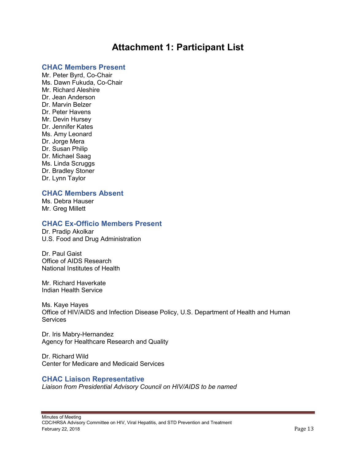## **Attachment 1: Participant List**

#### <span id="page-12-0"></span>**CHAC Members Present**

Mr. Peter Byrd, Co-Chair Ms. Dawn Fukuda, Co-Chair Mr. Richard Aleshire Dr. Jean Anderson Dr. Marvin Belzer Dr. Peter Havens Mr. Devin Hursey Dr. Jennifer Kates Ms. Amy Leonard Dr. Jorge Mera Dr. Susan Philip Dr. Michael Saag Ms. Linda Scruggs Dr. Bradley Stoner Dr. Lynn Taylor

#### **CHAC Members Absent**

Ms. Debra Hauser Mr. Greg Millett

#### **CHAC Ex-Officio Members Present**

Dr. Pradip Akolkar U.S. Food and Drug Administration

Dr. Paul Gaist Office of AIDS Research National Institutes of Health

Mr. Richard Haverkate Indian Health Service

Ms. Kaye Hayes Office of HIV/AIDS and Infection Disease Policy, U.S. Department of Health and Human **Services** 

Dr. Iris Mabry-Hernandez Agency for Healthcare Research and Quality

Dr. Richard Wild Center for Medicare and Medicaid Services

#### **CHAC Liaison Representative**

*Liaison from Presidential Advisory Council on HIV/AIDS to be named*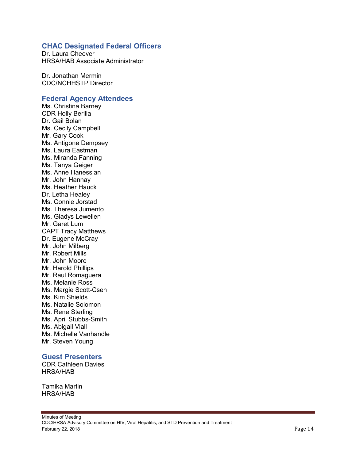#### **CHAC Designated Federal Officers**

Dr. Laura Cheever HRSA/HAB Associate Administrator

Dr. Jonathan Mermin CDC/NCHHSTP Director

#### **Federal Agency Attendees**

Ms. Christina Barney CDR Holly Berilla Dr. Gail Bolan Ms. Cecily Campbell Mr. Gary Cook Ms. Antigone Dempsey Ms. Laura Eastman Ms. Miranda Fanning Ms. Tanya Geiger Ms. Anne Hanessian Mr. John Hannay Ms. Heather Hauck Dr. Letha Healey Ms. Connie Jorstad Ms. Theresa Jumento Ms. Gladys Lewellen Mr. Garet Lum CAPT Tracy Matthews Dr. Eugene McCray Mr. John Milberg Mr. Robert Mills Mr. John Moore Mr. Harold Phillips Mr. Raul Romaguera Ms. Melanie Ross Ms. Margie Scott-Cseh Ms. Kim Shields Ms. Natalie Solomon Ms. Rene Sterling Ms. April Stubbs-Smith Ms. Abigail Viall Ms. Michelle Vanhandle Mr. Steven Young

#### **Guest Presenters**

CDR Cathleen Davies HRSA/HAB

Tamika Martin HRSA/HAB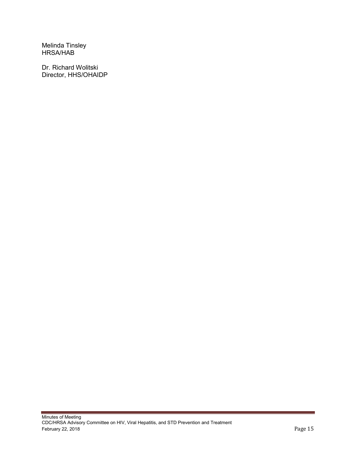Melinda Tinsley HRSA/HAB

Dr. Richard Wolitski Director, HHS/OHAIDP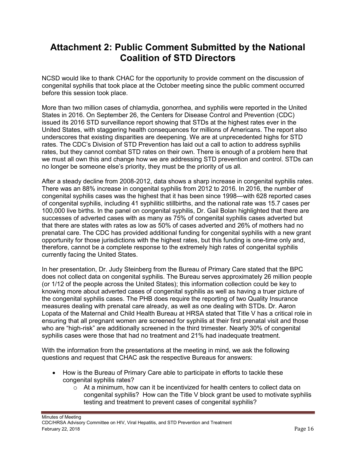## <span id="page-15-0"></span>**Attachment 2: Public Comment Submitted by the National Coalition of STD Directors**

NCSD would like to thank CHAC for the opportunity to provide comment on the discussion of congenital syphilis that took place at the October meeting since the public comment occurred before this session took place.

More than two million cases of chlamydia, gonorrhea, and syphilis were reported in the United States in 2016. On September 26, the Centers for Disease Control and Prevention (CDC) issued its 2016 STD surveillance report showing that STDs at the highest rates ever in the United States, with staggering health consequences for millions of Americans. The report also underscores that existing disparities are deepening. We are at unprecedented highs for STD rates. The CDC's Division of STD Prevention has laid out a call to action to address syphilis rates, but they cannot combat STD rates on their own. There is enough of a problem here that we must all own this and change how we are addressing STD prevention and control. STDs can no longer be someone else's priority, they must be the priority of us all.

After a steady decline from 2008-2012, data shows a sharp increase in congenital syphilis rates. There was an 88% increase in congenital syphilis from 2012 to 2016. In 2016, the number of congenital syphilis cases was the highest that it has been since 1998—with 628 reported cases of congenital syphilis, including 41 syphilitic stillbirths, and the national rate was 15.7 cases per 100,000 live births. In the panel on congenital syphilis, Dr. Gail Bolan highlighted that there are successes of adverted cases with as many as 75% of congenital syphilis cases adverted but that there are states with rates as low as 50% of cases adverted and 26% of mothers had no prenatal care. The CDC has provided additional funding for congenital syphilis with a new grant opportunity for those jurisdictions with the highest rates, but this funding is one-time only and, therefore, cannot be a complete response to the extremely high rates of congenital syphilis currently facing the United States.

In her presentation, Dr. Judy Steinberg from the Bureau of Primary Care stated that the BPC does not collect data on congenital syphilis. The Bureau serves approximately 26 million people (or 1/12 of the people across the United States); this information collection could be key to knowing more about adverted cases of congenital syphilis as well as having a truer picture of the congenital syphilis cases. The PHB does require the reporting of two Quality Insurance measures dealing with prenatal care already, as well as one dealing with STDs. Dr. Aaron Lopata of the Maternal and Child Health Bureau at HRSA stated that Title V has a critical role in ensuring that all pregnant women are screened for syphilis at their first prenatal visit and those who are "high-risk" are additionally screened in the third trimester. Nearly 30% of congenital syphilis cases were those that had no treatment and 21% had inadequate treatment.

With the information from the presentations at the meeting in mind, we ask the following questions and request that CHAC ask the respective Bureaus for answers:

- How is the Bureau of Primary Care able to participate in efforts to tackle these congenital syphilis rates?
	- $\circ$  At a minimum, how can it be incentivized for health centers to collect data on congenital syphilis? How can the Title V block grant be used to motivate syphilis testing and treatment to prevent cases of congenital syphilis?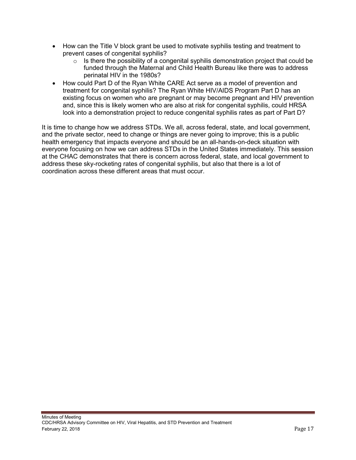- How can the Title V block grant be used to motivate syphilis testing and treatment to prevent cases of congenital syphilis?
	- $\circ$  Is there the possibility of a congenital syphilis demonstration project that could be funded through the Maternal and Child Health Bureau like there was to address perinatal HIV in the 1980s?
- How could Part D of the Ryan White CARE Act serve as a model of prevention and treatment for congenital syphilis? The Ryan White HIV/AIDS Program Part D has an existing focus on women who are pregnant or may become pregnant and HIV prevention and, since this is likely women who are also at risk for congenital syphilis, could HRSA look into a demonstration project to reduce congenital syphilis rates as part of Part D?

It is time to change how we address STDs. We all, across federal, state, and local government, and the private sector, need to change or things are never going to improve; this is a public health emergency that impacts everyone and should be an all-hands-on-deck situation with everyone focusing on how we can address STDs in the United States immediately. This session at the CHAC demonstrates that there is concern across federal, state, and local government to address these sky-rocketing rates of congenital syphilis, but also that there is a lot of coordination across these different areas that must occur.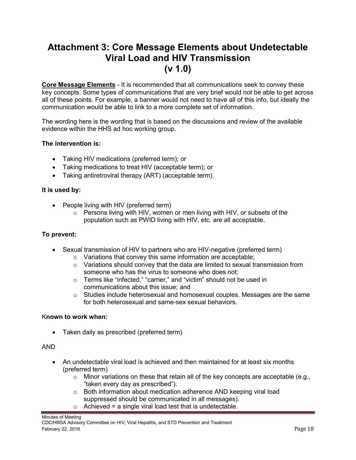## <span id="page-17-0"></span>**Attachment 3: Core Message Elements about Undetectable Viral Load and HIV Transmission (v 1.0)**

**Core Message Elements** - It is recommended that all communications seek to convey these key concepts. Some types of communications that are very brief would not be able to get across all of these points. For example, a banner would not need to have all of this info, but ideally the communication would be able to link to a more complete set of information.

The wording here is the wording that is based on the discussions and review of the available evidence within the HHS ad hoc working group.

#### **The intervention is:**

- Taking HIV medications (preferred term); or
- Taking medications to treat HIV (acceptable term); or
- Taking antiretroviral therapy (ART) (acceptable term).

#### **It is used by:**

- People living with HIV (preferred term)
	- o Persons living with HIV, women or men living with HIV, or subsets of the population such as PWID living with HIV, etc. are all acceptable.

#### **To prevent:**

- Sexual transmission of HIV to partners who are HIV-negative (preferred term)
	- o Variations that convey this same information are acceptable;
	- $\circ$  Variations should convey that the data are limited to sexual transmission from someone who has the virus to someone who does not;
	- o Terms like "infected," "carrier," and "victim" should not be used in communications about this issue; and
	- $\circ$  Studies include heterosexual and homosexual couples. Messages are the same for both heterosexual and same-sex sexual behaviors.

#### K**nown to work when:**

Taken daily as prescribed (preferred term)

#### AND

- An undetectable viral load is achieved and then maintained for at least six months (preferred term)
	- $\circ$  Minor variations on these that retain all of the key concepts are acceptable (e.g., "taken every day as prescribed").
	- o Both information about medication adherence AND keeping viral load suppressed should be communicated in all messages).
	- $\circ$  Achieved = a single viral load test that is undetectable.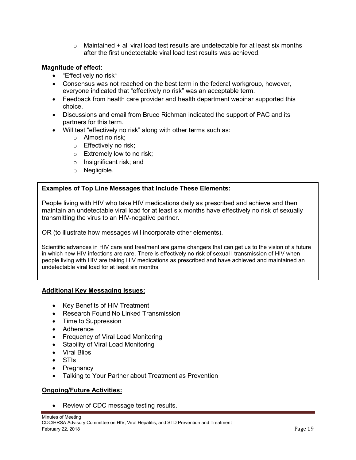$\circ$  Maintained + all viral load test results are undetectable for at least six months after the first undetectable viral load test results was achieved.

#### **Magnitude of effect:**

- "Effectively no risk"
- Consensus was not reached on the best term in the federal workgroup, however, everyone indicated that "effectively no risk" was an acceptable term.
- Feedback from health care provider and health department webinar supported this choice.
- Discussions and email from Bruce Richman indicated the support of PAC and its partners for this term.
- Will test "effectively no risk" along with other terms such as:
	- o Almost no risk;
	- o Effectively no risk;
	- o Extremely low to no risk;
	- o Insignificant risk; and
	- o Negligible.

#### **Examples of Top Line Messages that Include These Elements:**

People living with HIV who take HIV medications daily as prescribed and achieve and then maintain an undetectable viral load for at least six months have effectively no risk of sexually transmitting the virus to an HIV-negative partner.

OR (to illustrate how messages will incorporate other elements).

Scientific advances in HIV care and treatment are game changers that can get us to the vision of a future in which new HIV infections are rare. There is effectively no risk of sexual l transmission of HIV when people living with HIV are taking HIV medications as prescribed and have achieved and maintained an undetectable viral load for at least six months.

#### **Additional Key Messaging Issues:**

- Key Benefits of HIV Treatment
- Research Found No Linked Transmission
- Time to Suppression
- Adherence
- Frequency of Viral Load Monitoring
- Stability of Viral Load Monitoring
- Viral Blips
- STIs
- Pregnancy
- Talking to Your Partner about Treatment as Prevention

#### **Ongoing/Future Activities:**

Review of CDC message testing results.